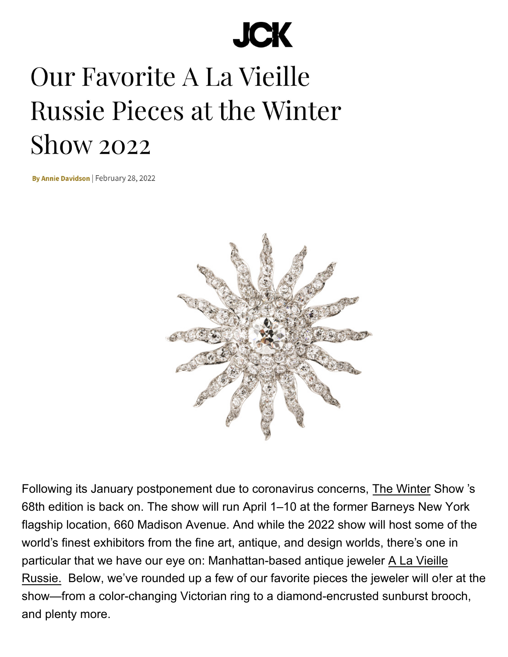## **JCK**

## Our Favorite A La Vieille **Russie Pieces at the Winter Show 2022**

By Annie Davidson | February 28, 2022



[Following its January postponement due to coronavirus concerns, The W](https://www.thewintershow.org/)inter Show 's 68th edition is back on. The show will run April 1–10 at the former Barneys New York flagship location, 660 Madison Avenue. And while the 2022 show will host some of the world's finest exhibitors from the fine art, antique, and design worlds, there's one in particular that we have our eye on: Manhattan-based antique jeweler A La Vieille [Russie. Below, we've rounded up a few of our favorite pieces the jewel](https://www.alvr.com/)er will o!er at the show—from a color-changing Victorian ring to a diamond-encrusted sunburst brooch, and plenty more.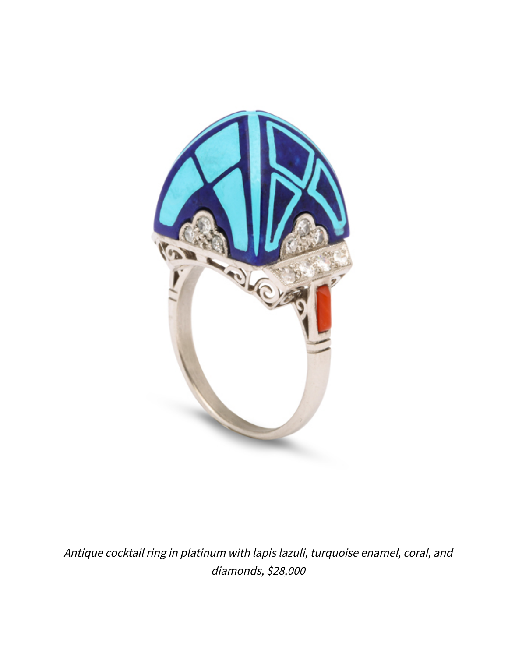

Antique cocktail ring in platinum with lapis lazuli, turquoise enamel, coral, and diamonds, \$28,000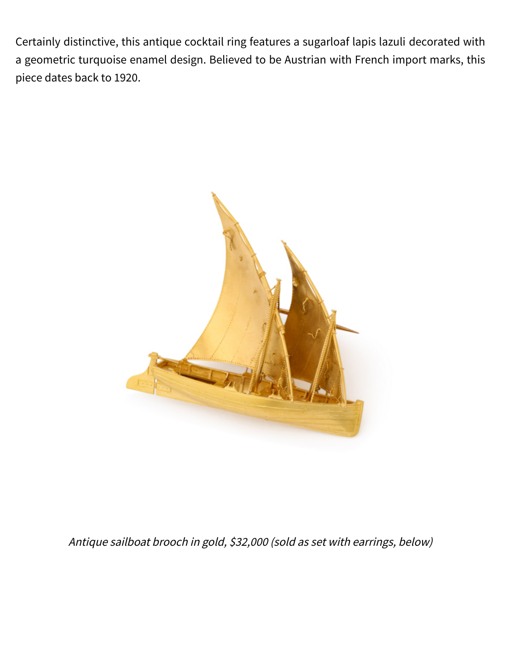Certainly distinctive, this antique cocktail ring features a sugarloaf lapis lazuli decorated with a geometric turquoise enamel design. Believed to be Austrian with French import marks, this piece dates back to 1920.



Antique sailboat brooch in gold, \$32,000 (sold as set with earrings, below)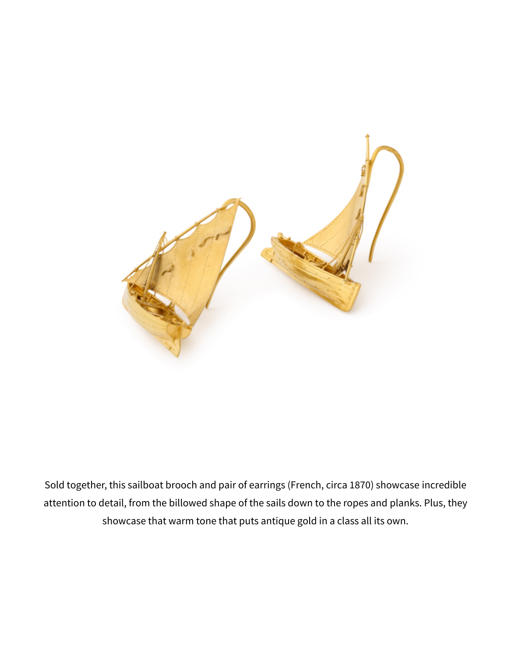

Sold together, this sailboat brooch and pair of earrings (French, circa 1870) showcase incredible attention to detail, from the billowed shape of the sails down to the ropes and planks. Plus, they showcase that warm tone that puts antique gold in a class all its own.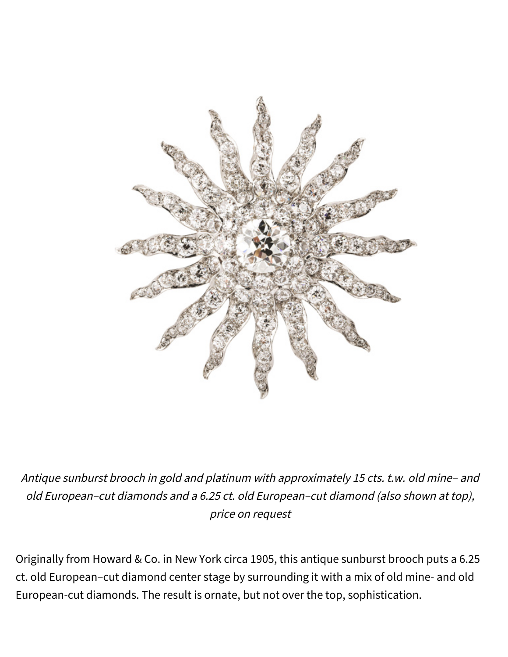

Antique sunburst brooch in gold and platinum with approximately 15 cts. t.w. old mine– and old European–cut diamonds and a 6.25 ct. old European–cut diamond (also shown at top), price on request

Originally from Howard & Co. in New York circa 1905, this antique sunburst brooch puts a 6.25 ct. old European–cut diamond center stage by surrounding it with a mix of old mine- and old European-cut diamonds. The result is ornate, but not over the top, sophistication.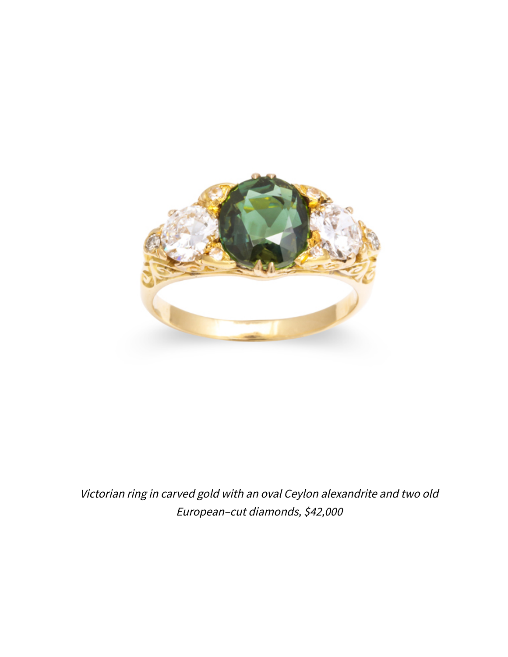

Victorian ring in carved gold with an oval Ceylon alexandrite and two old European–cut diamonds, \$42,000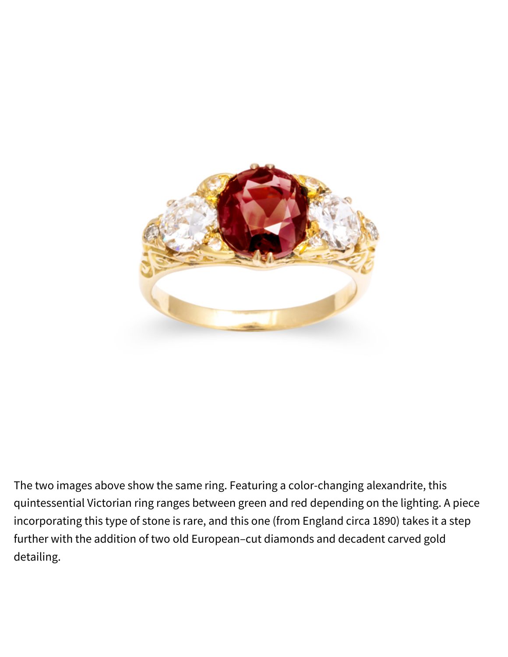

The two images above show the same ring. Featuring a color-changing alexandrite, this quintessential Victorian ring ranges between green and red depending on the lighting. A piece incorporating this type of stone is rare, and this one (from England circa 1890) takes it a step further with the addition of two old European–cut diamonds and decadent carved gold detailing.